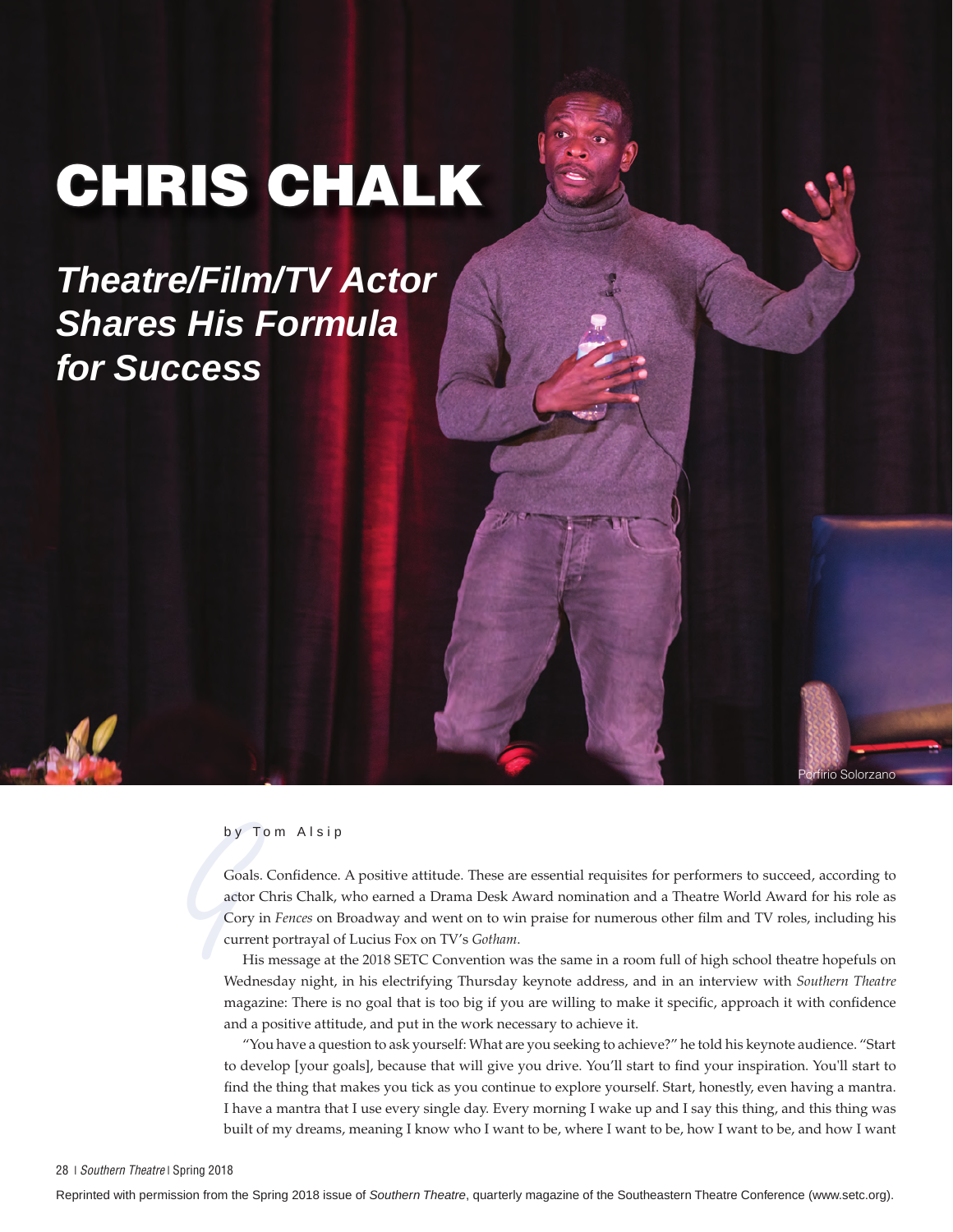# CHRIS CHALK

## *Theatre/Film/TV Actor Shares His Formula for Success*



by<br>
Goa<br>
actc<br>
Cor<br>
cur<br>
F Goals. Confidence. A positive attitude. These are essential requisites for performers to succeed, according to actor Chris Chalk, who earned a Drama Desk Award nomination and a Theatre World Award for his role as Cory in *Fences* on Broadway and went on to win praise for numerous other film and TV roles, including his current portrayal of Lucius Fox on TV's *Gotham*.

Solorzano

His message at the 2018 SETC Convention was the same in a room full of high school theatre hopefuls on Wednesday night, in his electrifying Thursday keynote address, and in an interview with *Southern Theatre*  magazine: There is no goal that is too big if you are willing to make it specific, approach it with confidence and a positive attitude, and put in the work necessary to achieve it.

"You have a question to ask yourself: What are you seeking to achieve?" he told his keynote audience. "Start to develop [your goals], because that will give you drive. You'll start to find your inspiration. You'll start to find the thing that makes you tick as you continue to explore yourself. Start, honestly, even having a mantra. I have a mantra that I use every single day. Every morning I wake up and I say this thing, and this thing was built of my dreams, meaning I know who I want to be, where I want to be, how I want to be, and how I want

Reprinted with permission from the Spring 2018 issue of *Southern Theatre*, quarterly magazine of the Southeastern Theatre Conference (www.setc.org).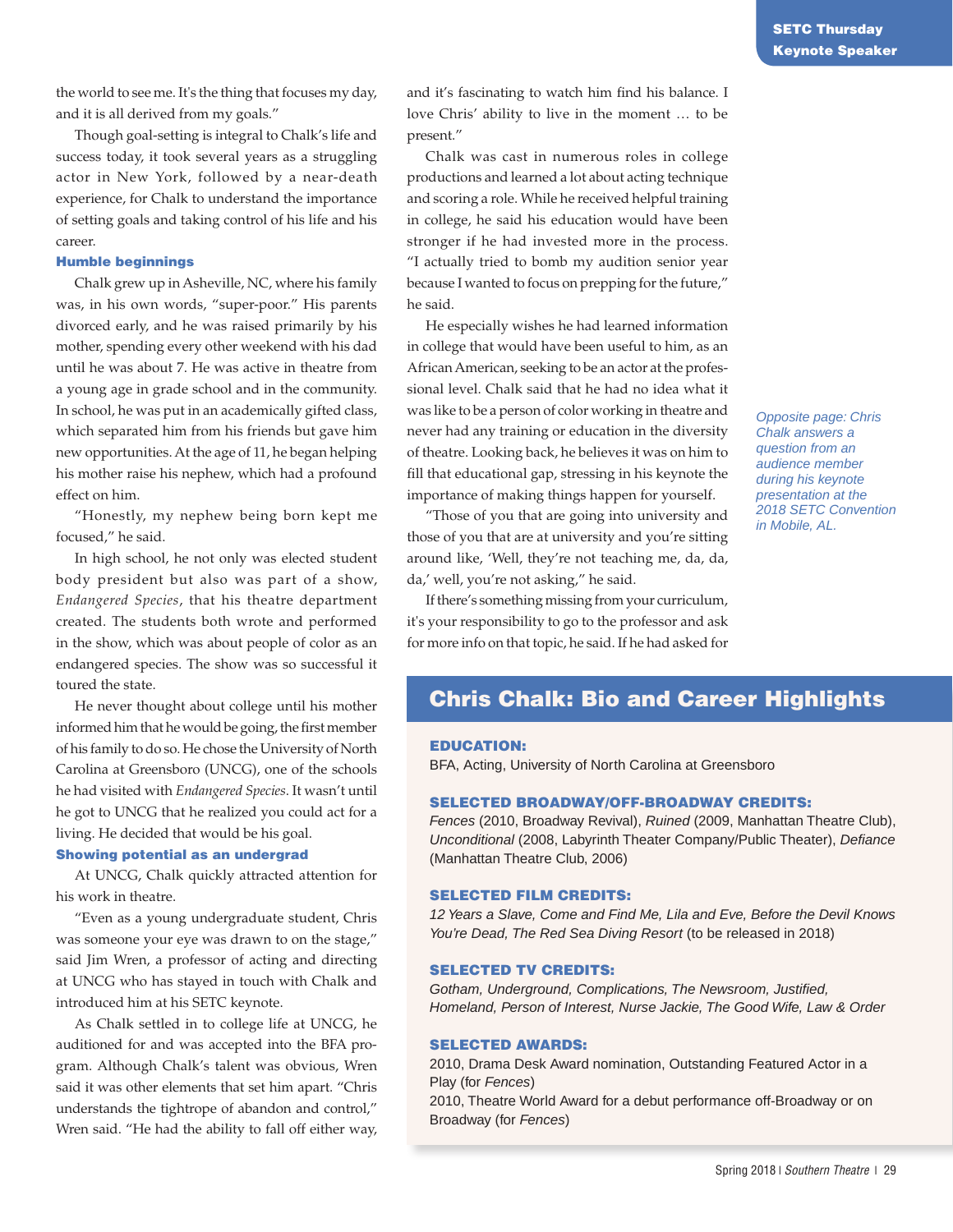the world to see me. It's the thing that focuses my day, and it is all derived from my goals."

Though goal-setting is integral to Chalk's life and success today, it took several years as a struggling actor in New York, followed by a near-death experience, for Chalk to understand the importance of setting goals and taking control of his life and his career.

#### Humble beginnings

Chalk grew up in Asheville, NC, where his family was, in his own words, "super-poor." His parents divorced early, and he was raised primarily by his mother, spending every other weekend with his dad until he was about 7. He was active in theatre from a young age in grade school and in the community. In school, he was put in an academically gifted class, which separated him from his friends but gave him new opportunities. At the age of 11, he began helping his mother raise his nephew, which had a profound effect on him.

"Honestly, my nephew being born kept me focused," he said.

In high school, he not only was elected student body president but also was part of a show, *Endangered Species*, that his theatre department created. The students both wrote and performed in the show, which was about people of color as an endangered species. The show was so successful it toured the state.

He never thought about college until his mother informed him that he would be going, the first member of his family to do so. He chose the University of North Carolina at Greensboro (UNCG), one of the schools he had visited with *Endangered Species*. It wasn't until he got to UNCG that he realized you could act for a living. He decided that would be his goal.

#### Showing potential as an undergrad

At UNCG, Chalk quickly attracted attention for his work in theatre.

"Even as a young undergraduate student, Chris was someone your eye was drawn to on the stage," said Jim Wren, a professor of acting and directing at UNCG who has stayed in touch with Chalk and introduced him at his SETC keynote.

As Chalk settled in to college life at UNCG, he auditioned for and was accepted into the BFA program. Although Chalk's talent was obvious, Wren said it was other elements that set him apart. "Chris understands the tightrope of abandon and control," Wren said. "He had the ability to fall off either way, and it's fascinating to watch him find his balance. I love Chris' ability to live in the moment … to be present."

Chalk was cast in numerous roles in college productions and learned a lot about acting technique and scoring a role. While he received helpful training in college, he said his education would have been stronger if he had invested more in the process. "I actually tried to bomb my audition senior year because I wanted to focus on prepping for the future," he said.

He especially wishes he had learned information in college that would have been useful to him, as an African American, seeking to be an actor at the professional level. Chalk said that he had no idea what it was like to be a person of color working in theatre and never had any training or education in the diversity of theatre. Looking back, he believes it was on him to fill that educational gap, stressing in his keynote the importance of making things happen for yourself.

"Those of you that are going into university and those of you that are at university and you're sitting around like, 'Well, they're not teaching me, da, da, da,' well, you're not asking," he said.

If there's something missing from your curriculum, it's your responsibility to go to the professor and ask for more info on that topic, he said. If he had asked for

*Opposite page: Chris Chalk answers a question from an audience member during his keynote presentation at the 2018 SETC Convention in Mobile, AL.* 

#### Chris Chalk: Bio and Career Highlights

#### EDUCATION:

BFA, Acting, University of North Carolina at Greensboro

#### SELECTED BROADWAY/OFF-BROADWAY CREDITS:

*Fences* (2010, Broadway Revival), *Ruined* (2009, Manhattan Theatre Club), *Unconditional* (2008, Labyrinth Theater Company/Public Theater), *Defiance*  (Manhattan Theatre Club, 2006)

#### SELECTED FILM CREDITS:

*12 Years a Slave, Come and Find Me, Lila and Eve, Before the Devil Knows*  You're Dead, The Red Sea Diving Resort (to be released in 2018)

#### SELECTED TV CREDITS:

*Gotham, Underground, Complications, The Newsroom, Justified, Homeland, Person of Interest, Nurse Jackie, The Good Wife, Law & Order* 

#### SELECTED AWARDS:

2010, Drama Desk Award nomination, Outstanding Featured Actor in a Play (for *Fences*) 2010, Theatre World Award for a debut performance off-Broadway or on Broadway (for *Fences*)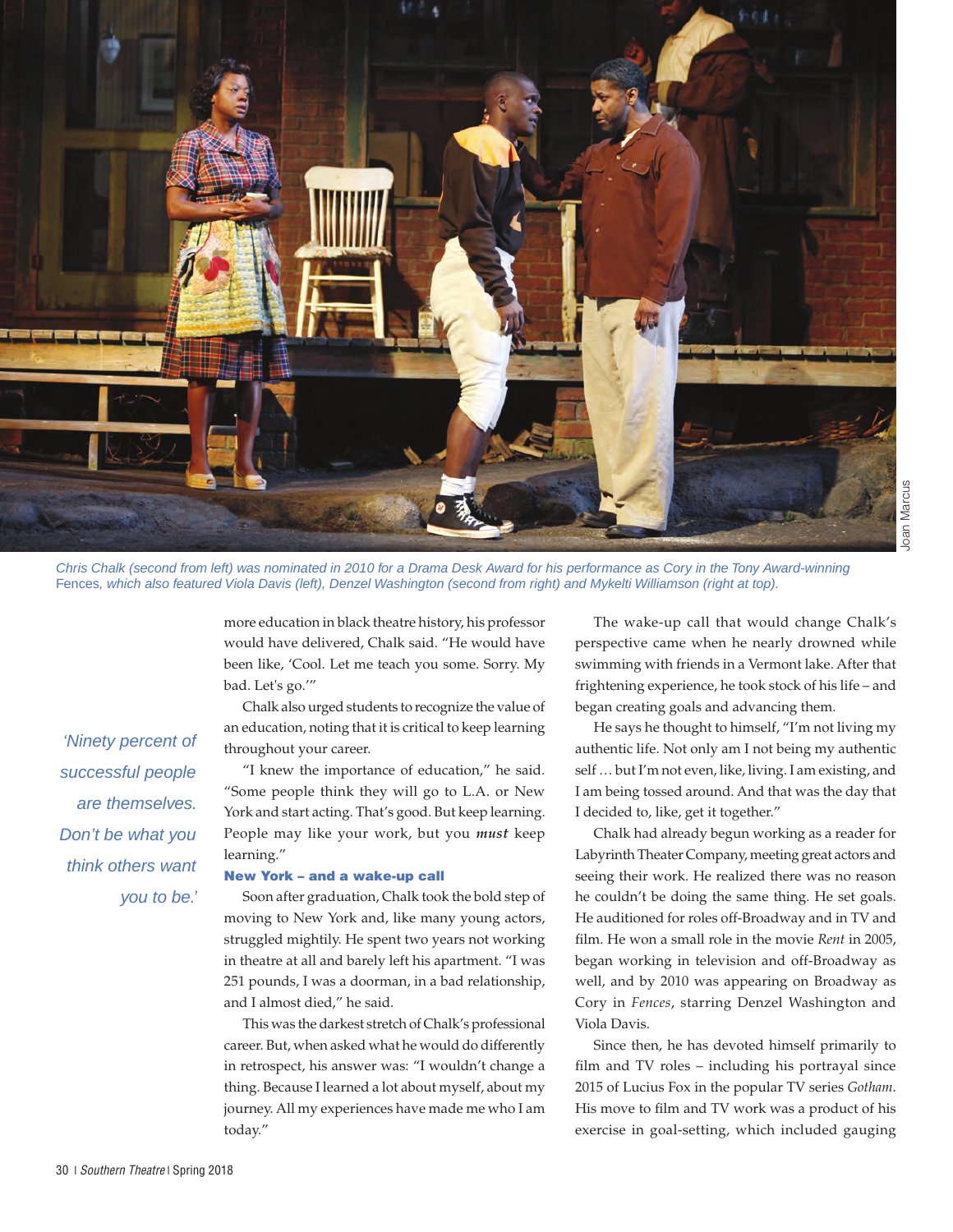

*Chris Chalk (second from left) was nominated in 2010 for a Drama Desk Award for his performance as Cory in the Tony Award-winning*  Fences*, which also featured Viola Davis (left), Denzel Washington (second from right) and Mykelti Williamson (right at top).*

more education in black theatre history, his professor would have delivered, Chalk said. "He would have been like, 'Cool. Let me teach you some. Sorry. My bad. Let's go.'"

Chalk also urged students to recognize the value of an education, noting that it is critical to keep learning throughout your career.

"I knew the importance of education," he said. "Some people think they will go to L.A. or New York and start acting. That's good. But keep learning. People may like your work, but you *must* keep learning."

#### New York – and a wake-up call

Soon after graduation, Chalk took the bold step of moving to New York and, like many young actors, struggled mightily. He spent two years not working in theatre at all and barely left his apartment. "I was 251 pounds, I was a doorman, in a bad relationship, and I almost died," he said.

This was the darkest stretch of Chalk's professional career. But, when asked what he would do differently in retrospect, his answer was: "I wouldn't change a thing. Because I learned a lot about myself, about my journey. All my experiences have made me who I am today."

The wake-up call that would change Chalk's perspective came when he nearly drowned while swimming with friends in a Vermont lake. After that frightening experience, he took stock of his life – and began creating goals and advancing them.

He says he thought to himself, "I'm not living my authentic life. Not only am I not being my authentic self … but I'm not even, like, living. I am existing, and I am being tossed around. And that was the day that I decided to, like, get it together."

Chalk had already begun working as a reader for Labyrinth Theater Company, meeting great actors and seeing their work. He realized there was no reason he couldn't be doing the same thing. He set goals. He auditioned for roles off-Broadway and in TV and film. He won a small role in the movie *Rent* in 2005, began working in television and off-Broadway as well, and by 2010 was appearing on Broadway as Cory in *Fences*, starring Denzel Washington and Viola Davis.

Since then, he has devoted himself primarily to film and TV roles – including his portrayal since 2015 of Lucius Fox in the popular TV series *Gotham*. His move to film and TV work was a product of his exercise in goal-setting, which included gauging

*'Ninety percent of successful people* 

*are themselves.* 

*you to be.'*

*Don't be what you think others want*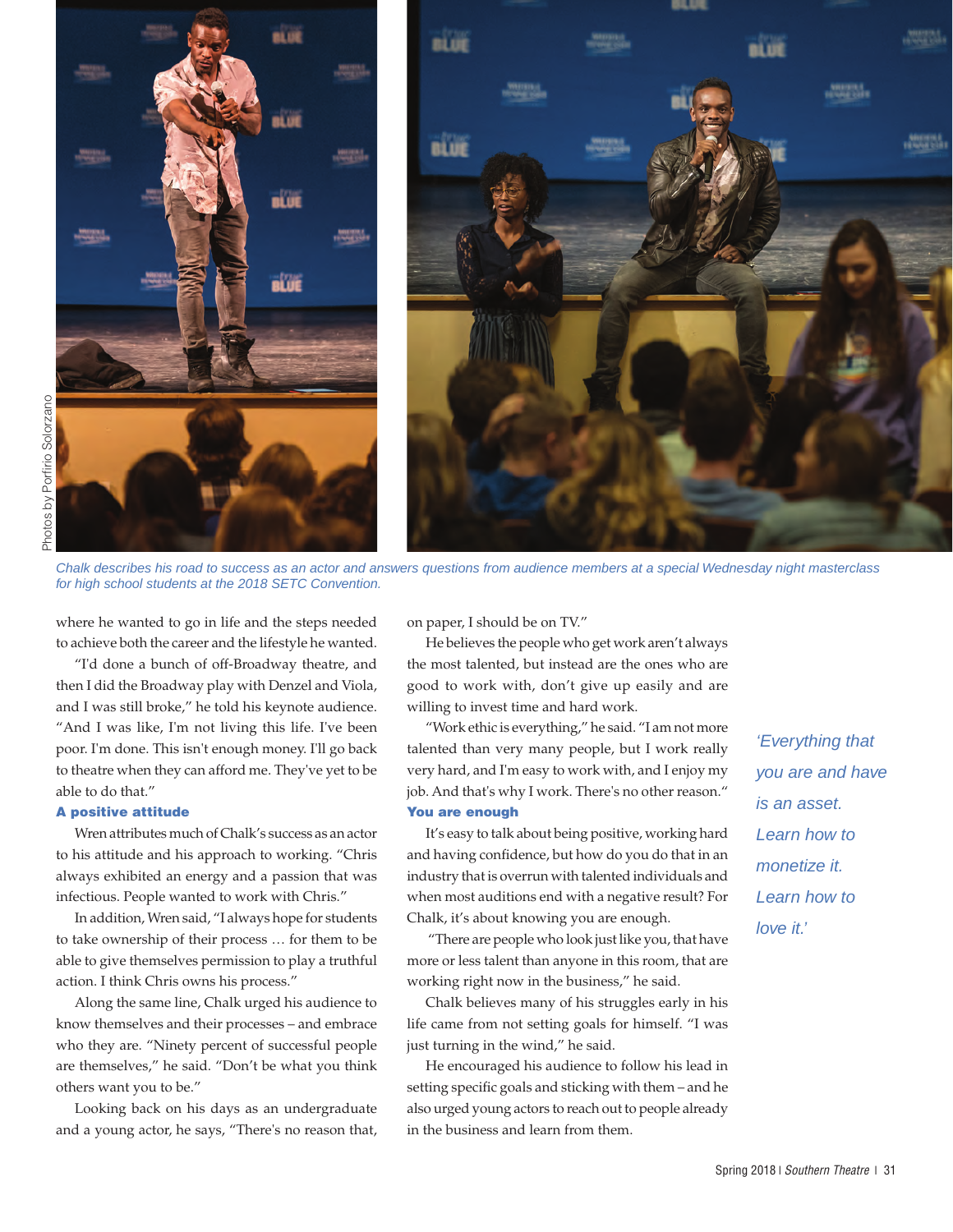

*Chalk describes his road to success as an actor and answers questions from audience members at a special Wednesday night masterclass for high school students at the 2018 SETC Convention.* 

where he wanted to go in life and the steps needed to achieve both the career and the lifestyle he wanted.

"I'd done a bunch of off-Broadway theatre, and then I did the Broadway play with Denzel and Viola, and I was still broke," he told his keynote audience. "And I was like, I'm not living this life. I've been poor. I'm done. This isn't enough money. I'll go back to theatre when they can afford me. They've yet to be able to do that."

#### A positive attitude

Wren attributes much of Chalk's success as an actor to his attitude and his approach to working. "Chris always exhibited an energy and a passion that was infectious. People wanted to work with Chris."

In addition, Wren said, "I always hope for students to take ownership of their process … for them to be able to give themselves permission to play a truthful action. I think Chris owns his process."

Along the same line, Chalk urged his audience to know themselves and their processes – and embrace who they are. "Ninety percent of successful people are themselves," he said. "Don't be what you think others want you to be."

Looking back on his days as an undergraduate and a young actor, he says, "There's no reason that, on paper, I should be on TV."

He believes the people who get work aren't always the most talented, but instead are the ones who are good to work with, don't give up easily and are willing to invest time and hard work.

"Work ethic is everything," he said. "I am not more talented than very many people, but I work really very hard, and I'm easy to work with, and I enjoy my job. And that's why I work. There's no other reason." You are enough

It's easy to talk about being positive, working hard and having confidence, but how do you do that in an industry that is overrun with talented individuals and when most auditions end with a negative result? For Chalk, it's about knowing you are enough.

 "There are people who look just like you, that have more or less talent than anyone in this room, that are working right now in the business," he said.

Chalk believes many of his struggles early in his life came from not setting goals for himself. "I was just turning in the wind," he said.

He encouraged his audience to follow his lead in setting specific goals and sticking with them – and he also urged young actors to reach out to people already in the business and learn from them.

*'Everything that you are and have is an asset. Learn how to monetize it. Learn how to love it.'*